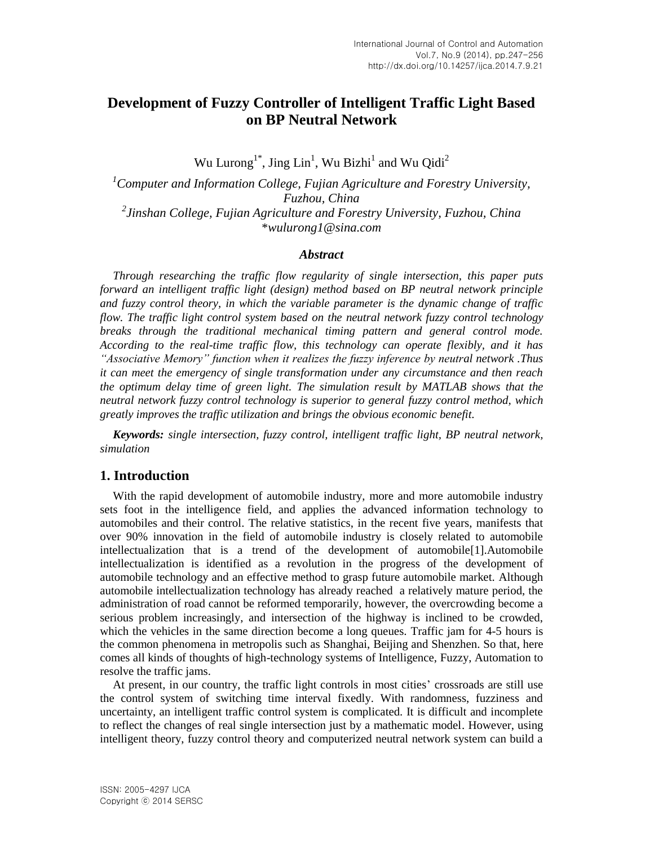# **Development of Fuzzy Controller of Intelligent Traffic Light Based on BP Neutral Network**

Wu Lurong<sup>1\*</sup>, Jing Lin<sup>1</sup>, Wu Bizhi<sup>1</sup> and Wu Qidi<sup>2</sup>

*<sup>1</sup>Computer and Information College, Fujian Agriculture and Forestry University, Fuzhou, China 2 Jinshan College, Fujian Agriculture and Forestry University, Fuzhou, China* \**wulurong1@sina.com*

### *Abstract*

*Through researching the traffic flow regularity of single intersection, this paper puts forward an intelligent traffic light (design) method based on BP neutral network principle and fuzzy control theory, in which the variable parameter is the dynamic change of traffic flow. The traffic light control system based on the neutral network fuzzy control technology breaks through the traditional mechanical timing pattern and general control mode. According to the real-time traffic flow, this technology can operate flexibly, and it has "Associative Memory" function when it realizes the fuzzy inference by neutral network .Thus it can meet the emergency of single transformation under any circumstance and then reach the optimum delay time of green light. The simulation result by MATLAB shows that the neutral network fuzzy control technology is superior to general fuzzy control method, which greatly improves the traffic utilization and brings the obvious economic benefit.*

*Keywords: single intersection, fuzzy control, intelligent traffic light, BP neutral network, simulation*

## **1. Introduction**

With the rapid development of automobile industry, more and more automobile industry sets foot in the intelligence field, and applies the advanced information technology to automobiles and their control. The relative statistics, in the recent five years, manifests that over 90% innovation in the field of automobile industry is closely related to automobile intellectualization that is a trend of the development of automobile $[1]$ . Automobile intellectualization is identified as a revolution in the progress of the development of automobile technology and an effective method to grasp future automobile market. Although automobile intellectualization technology has already reached a relatively mature period, the administration of road cannot be reformed temporarily, however, the overcrowding become a serious problem increasingly, and intersection of the highway is inclined to be crowded, which the vehicles in the same direction become a long queues. Traffic jam for 4-5 hours is the common phenomena in metropolis such as Shanghai, Beijing and Shenzhen. So that, here comes all kinds of thoughts of high-technology systems of Intelligence, Fuzzy, Automation to resolve the traffic jams.

At present, in our country, the traffic light controls in most cities' crossroads are still use the control system of switching time interval fixedly. With randomness, fuzziness and uncertainty, an intelligent traffic control system is complicated. It is difficult and incomplete to reflect the changes of real single intersection just by a mathematic model. However, using intelligent theory, fuzzy control theory and computerized neutral network system can build a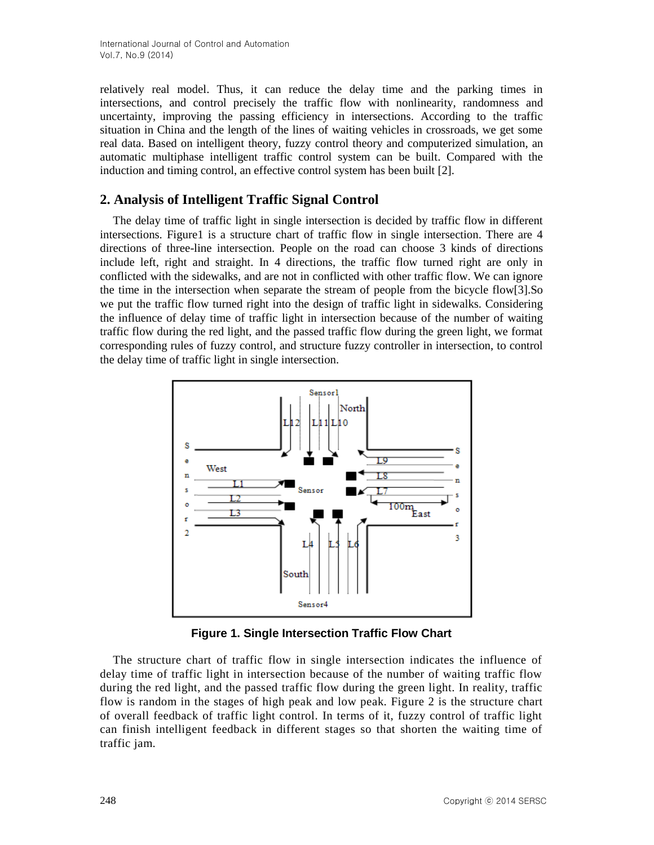relatively real model. Thus, it can reduce the delay time and the parking times in intersections, and control precisely the traffic flow with nonlinearity, randomness and uncertainty, improving the passing efficiency in intersections. According to the traffic situation in China and the length of the lines of waiting vehicles in crossroads, we get some real data. Based on intelligent theory, fuzzy control theory and computerized simulation, an automatic multiphase intelligent traffic control system can be built. Compared with the induction and timing control, an effective control system has been built [2].

## **2. Analysis of Intelligent Traffic Signal Control**

The delay time of traffic light in single intersection is decided by traffic flow in different intersections. Figure1 is a structure chart of traffic flow in single intersection. There are 4 directions of three-line intersection. People on the road can choose 3 kinds of directions include left, right and straight. In 4 directions, the traffic flow turned right are only in conflicted with the sidewalks, and are not in conflicted with other traffic flow. We can ignore the time in the intersection when separate the stream of people from the bicycle flow[3].So we put the traffic flow turned right into the design of traffic light in sidewalks. Considering the influence of delay time of traffic light in intersection because of the number of waiting traffic flow during the red light, and the passed traffic flow during the green light, we format corresponding rules of fuzzy control, and structure fuzzy controller in intersection, to control the delay time of traffic light in single intersection.



**Figure 1. Single Intersection Traffic Flow Chart**

The structure chart of traffic flow in single intersection indicates the influence of delay time of traffic light in intersection because of the number of waiting traffic flow during the red light, and the passed traffic flow during the green light. In reality, traffic flow is random in the stages of high peak and low peak. Figure 2 is the structure chart of overall feedback of traffic light control. In terms of it, fuzzy control of traffic light can finish intelligent feedback in different stages so that shorten the waiting time of traffic jam.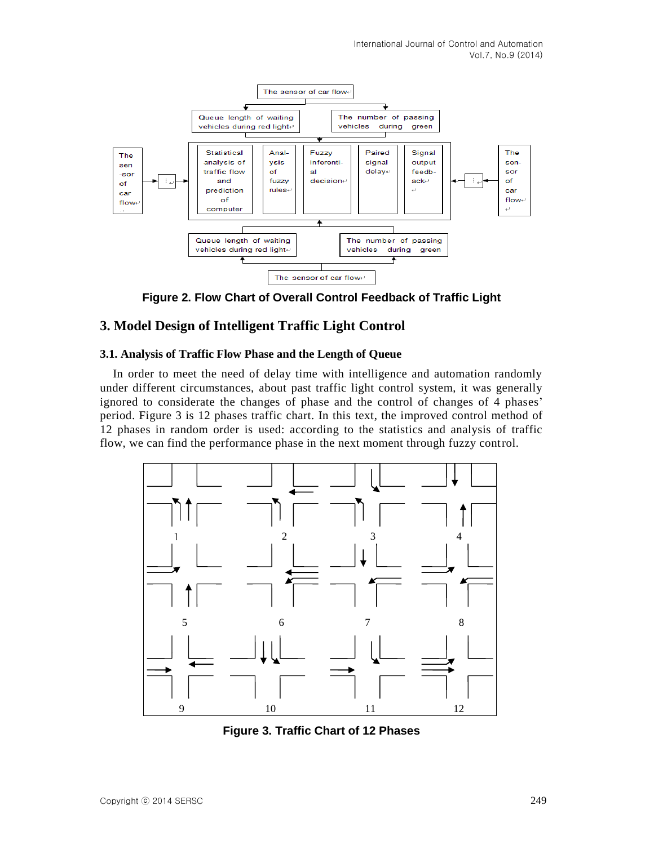

**Figure 2. Flow Chart of Overall Control Feedback of Traffic Light**

# **3. Model Design of Intelligent Traffic Light Control**

## **3.1. Analysis of Traffic Flow Phase and the Length of Queue**

In order to meet the need of delay time with intelligence and automation randomly under different circumstances, about past traffic light control system, it was generally ignored to considerate the changes of phase and the control of changes of 4 phases' period. Figure 3 is 12 phases traffic chart. In this text, the improved control method of 12 phases in random order is used: according to the statistics and analysis of traffic flow, we can find the performance phase in the next moment through fuzzy control.



**Figure 3. Traffic Chart of 12 Phases**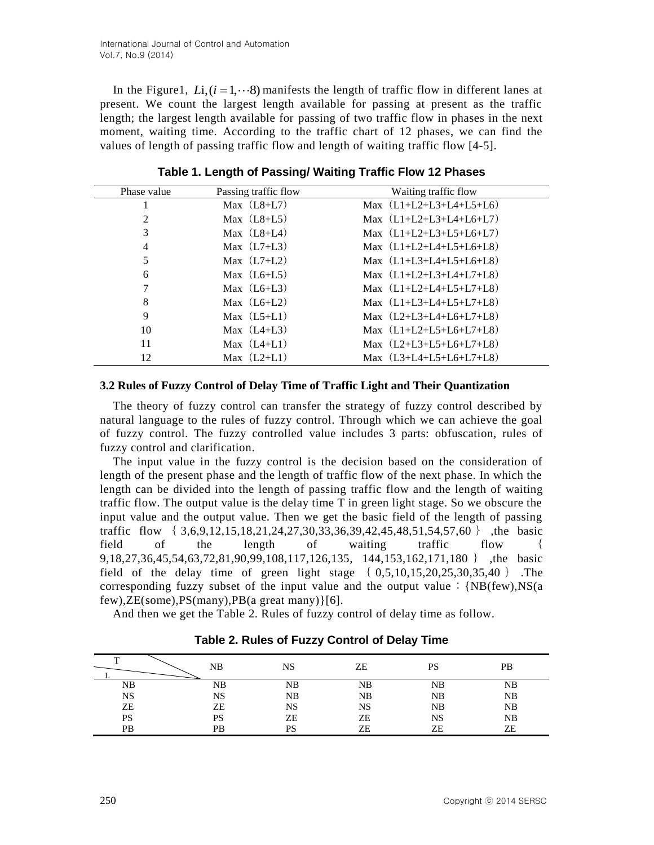In the Figure1,  $Li$ ,  $(i = 1, \dots 8)$  manifests the length of traffic flow in different lanes at present. We count the largest length available for passing at present as the traffic length; the largest length available for passing of two traffic flow in phases in the next moment, waiting time. According to the traffic chart of 12 phases, we can find the values of length of passing traffic flow and length of waiting traffic flow [4-5].

| Phase value    | Passing traffic flow | Waiting traffic flow      |
|----------------|----------------------|---------------------------|
|                | Max $(L8+L7)$        | Max $(L1+L2+L3+L4+L5+L6)$ |
| 2              | Max $(L8+L5)$        | Max $(L1+L2+L3+L4+L6+L7)$ |
| 3              | Max $(L8+L4)$        | Max $(L1+L2+L3+L5+L6+L7)$ |
| $\overline{4}$ | Max $(L7+L3)$        | Max $(L1+L2+L4+L5+L6+L8)$ |
| 5              | Max $(L7+L2)$        | Max $(L1+L3+L4+L5+L6+L8)$ |
| 6              | Max $(L6+L5)$        | Max $(L1+L2+L3+L4+L7+L8)$ |
| 7              | Max $(L6+L3)$        | Max $(L1+L2+L4+L5+L7+L8)$ |
| 8              | Max $(L6+L2)$        | Max (L1+L3+L4+L5+L7+L8)   |
| 9              | Max $(L5+L1)$        | Max $(L2+L3+L4+L6+L7+L8)$ |
| 10             | Max $(L4+L3)$        | Max $(L1+L2+L5+L6+L7+L8)$ |
| 11             | Max $(L4+L1)$        | Max $(L2+L3+L5+L6+L7+L8)$ |
| 12             | Max $(L2+L1)$        | Max $(L3+L4+L5+L6+L7+L8)$ |

**Table 1. Length of Passing/ Waiting Traffic Flow 12 Phases**

### **3.2 Rules of Fuzzy Control of Delay Time of Traffic Light and Their Quantization**

The theory of fuzzy control can transfer the strategy of fuzzy control described by natural language to the rules of fuzzy control. Through which we can achieve the goal of fuzzy control. The fuzzy controlled value includes 3 parts: obfuscation, rules of fuzzy control and clarification.

The input value in the fuzzy control is the decision based on the consideration of length of the present phase and the length of traffic flow of the next phase. In which the length can be divided into the length of passing traffic flow and the length of waiting traffic flow. The output value is the delay time T in green light stage. So we obscure the input value and the output value. Then we get the basic field of the length of passing traffic flow { 3,6,9,12,15,18,21,24,27,30,33,36,39,42,45,48,51,54,57,60 } ,the basic field of the length of waiting traffic flow { 9,18,27,36,45,54,63,72,81,90,99,108,117,126,135, 144,153,162,171,180 } ,the basic field of the delay time of green light stage  $\{0.5, 10, 15, 20, 25, 30, 35, 40\}$ . The corresponding fuzzy subset of the input value and the output value:  $\{NB(few), NS(a$ few),ZE(some),PS(many),PB(a great many)}[6].

And then we get the Table 2. Rules of fuzzy control of delay time as follow.

|           | NΒ        | NS | ZE | <b>PS</b> | <b>PB</b> |
|-----------|-----------|----|----|-----------|-----------|
| NB        | NΒ        | NΒ | NΒ | NΒ        | NΒ        |
| <b>NS</b> | <b>NS</b> | NB | NB | NΒ        | NB.       |
| ZΕ        | ZE        | NS | NS | NΒ        | NΒ        |
| PS        | PS        | ZE | ZE | NS        | NB        |
| PB        | PB        | PS | ZE | ZE        | ZE        |

## **Table 2. Rules of Fuzzy Control of Delay Time**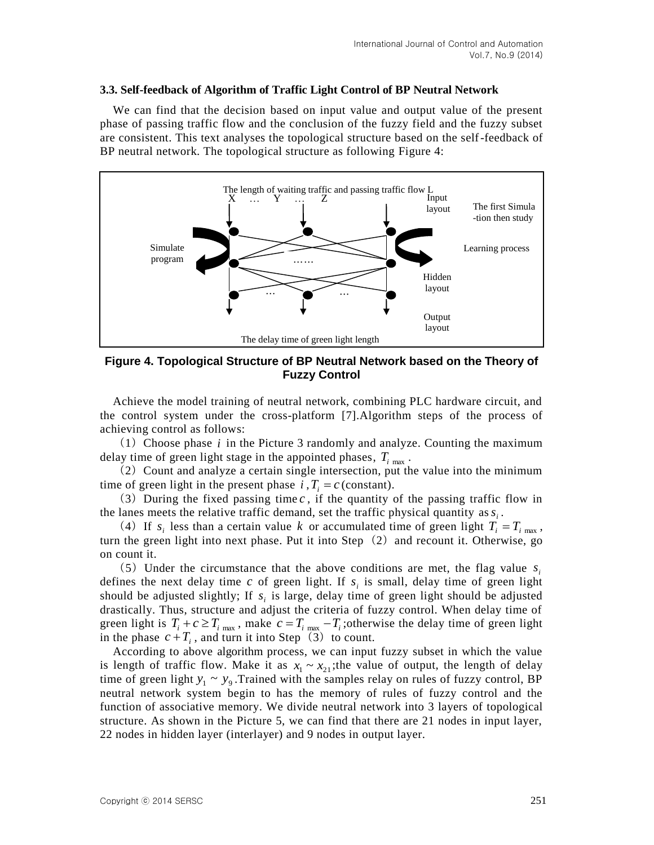#### **3.3. Self-feedback of Algorithm of Traffic Light Control of BP Neutral Network**

We can find that the decision based on input value and output value of the present phase of passing traffic flow and the conclusion of the fuzzy field and the fuzzy subset are consistent. This text analyses the topological structure based on the self-feedback of BP neutral network. The topological structure as following Figure 4:



**Figure 4. Topological Structure of BP Neutral Network based on the Theory of Fuzzy Control**

Achieve the model training of neutral network, combining PLC hardware circuit, and the control system under the cross-platform [7].Algorithm steps of the process of achieving control as follows:

 $(1)$  Choose phase *i* in the Picture 3 randomly and analyze. Counting the maximum delay time of green light stage in the appointed phases,  $T_{i_{\text{max}}}$ .

 $(2)$  Count and analyze a certain single intersection, put the value into the minimum time of green light in the present phase  $i, T_i = c$  (constant).

(3) During the fixed passing time  $c$ , if the quantity of the passing traffic flow in the lanes meets the relative traffic demand, set the traffic physical quantity as  $s_i$ .

(4) If  $s_i$  less than a certain value k or accumulated time of green light  $T_i = T_i$  max, turn the green light into next phase. Put it into Step  $(2)$  and recount it. Otherwise, go on count it.

(5) Under the circumstance that the above conditions are met, the flag value  $s_i$ defines the next delay time  $c$  of green light. If  $s_i$  is small, delay time of green light should be adjusted slightly; If  $s_i$  is large, delay time of green light should be adjusted drastically. Thus, structure and adjust the criteria of fuzzy control. When delay time of green light is  $T_i + c \geq T_i$   $_{\text{max}}$ , make  $c = T_i$   $_{\text{max}} - T_i$ ; otherwise the delay time of green light in the phase  $c + T_i$ , and turn it into Step (3) to count.

According to above algorithm process, we can input fuzzy subset in which the value is length of traffic flow. Make it as  $x_1 \sim x_{21}$ ; the value of output, the length of delay time of green light  $y_1 \sim y_9$ . Trained with the samples relay on rules of fuzzy control, BP neutral network system begin to has the memory of rules of fuzzy control and the function of associative memory. We divide neutral network into 3 layers of topological structure. As shown in the Picture 5, we can find that there are 21 nodes in input layer, 22 nodes in hidden layer (interlayer) and 9 nodes in output layer.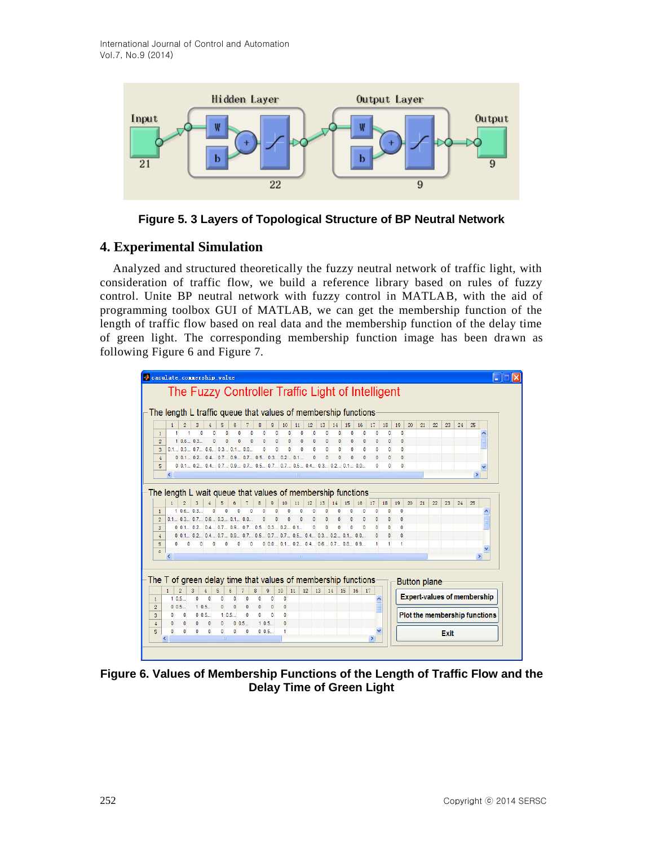

**Figure 5. 3 Layers of Topological Structure of BP Neutral Network**

# **4. Experimental Simulation**

Analyzed and structured theoretically the fuzzy neutral network of traffic light, with consideration of traffic flow, we build a reference library based on rules of fuzzy control. Unite BP neutral network with fuzzy control in MATLAB, with the aid of programming toolbox GUI of MATLAB, we can get the membership function of the length of traffic flow based on real data and the membership function of the delay time of green light. The corresponding membership function image has been drawn as following Figure 6 and Figure 7.

|                                                             |              | caculate connership value                                                                                                                       |                        |                |                   |              |              |                   |                   |                    |                                                                                                                     |              |              |                    |                              |                    |              |              |              |                     |    |    |      |    |               |                                    |
|-------------------------------------------------------------|--------------|-------------------------------------------------------------------------------------------------------------------------------------------------|------------------------|----------------|-------------------|--------------|--------------|-------------------|-------------------|--------------------|---------------------------------------------------------------------------------------------------------------------|--------------|--------------|--------------------|------------------------------|--------------------|--------------|--------------|--------------|---------------------|----|----|------|----|---------------|------------------------------------|
|                                                             |              | The Fuzzy Controller Traffic Light of Intelligent                                                                                               |                        |                |                   |              |              |                   |                   |                    |                                                                                                                     |              |              |                    |                              |                    |              |              |              |                     |    |    |      |    |               |                                    |
|                                                             |              |                                                                                                                                                 |                        |                |                   |              |              |                   |                   |                    |                                                                                                                     |              |              |                    |                              |                    |              |              |              |                     |    |    |      |    |               |                                    |
|                                                             |              | - The length L traffic queue that values of membership functions                                                                                |                        |                |                   |              |              |                   |                   |                    |                                                                                                                     |              |              |                    |                              |                    |              |              |              |                     |    |    |      |    |               |                                    |
|                                                             |              |                                                                                                                                                 |                        |                |                   |              |              |                   |                   |                    |                                                                                                                     |              |              |                    |                              |                    |              |              |              |                     |    |    |      |    |               |                                    |
|                                                             | $\mathbf{1}$ | $\mathbf{1}$                                                                                                                                    | 3<br>$\mathbf{1}$      | $\mathbf{0}$   | 5<br>$\mathbf{0}$ | 0            | $\mathbf{0}$ | 8<br>$\mathbf{0}$ | 9<br>$\mathbf{0}$ | 10<br>$\mathbf{0}$ | 11<br>$\bullet$<br>$\mathbf{0}$                                                                                     | 12           | 13<br>0      | 14<br>$\mathbf{0}$ | 15<br>$\mathbf{0}$<br>0      | 16<br>$\mathbf{0}$ | 17<br>0      | 18<br>0      | 19<br>0      | 20                  | 21 | 22 | 23   | 24 | 25            |                                    |
| 1<br>$\overline{2}$                                         |              | $1 \ 0.6 \ 0.3$                                                                                                                                 |                        |                | $\mathbf{0}$      | 0            | $\mathbf{0}$ | $\mathbf{0}$      | $\mathbf{0}$      | $\mathbf{0}$       | $\mathbf{0}$<br>0                                                                                                   |              | $\mathbf{0}$ | $\mathbf{0}$       | $\mathbf{0}$<br>$\mathbf{0}$ | $\mathbf{0}$       | $\bf{0}$     | $\mathbf{0}$ | $\mathbf{0}$ |                     |    |    |      |    |               |                                    |
| 3.                                                          |              | $0.1$ $0.3$ $0.7$ $0.6$ $0.3$ $0.1$ $0.0$                                                                                                       |                        |                |                   |              |              |                   | 0                 | $\mathbf{0}$       | $\mathbf{0}$<br>0                                                                                                   |              | $\mathbf{0}$ | $\bullet$          | $\mathbf{0}$<br>$\mathbf{0}$ | $\mathbf{0}$       | $\mathbf{0}$ | $\mathbf{0}$ | $\mathbf{0}$ |                     |    |    |      |    |               |                                    |
| $\overline{4}$                                              |              |                                                                                                                                                 |                        |                |                   |              |              |                   |                   |                    | 0 0.1 0.2 0.4 0.7 0.9 0.7 0.5 0.3 0.2 0.1                                                                           |              | 0            | 0                  |                              |                    | $\mathbf{0}$ | $\mathbf{0}$ | $\mathbf{0}$ |                     |    |    |      |    |               |                                    |
| 5                                                           |              |                                                                                                                                                 |                        |                |                   |              |              |                   |                   |                    |                                                                                                                     |              |              |                    |                              |                    | $\bullet$    | $\mathbf{0}$ | $\Omega$     |                     |    |    |      |    |               |                                    |
|                                                             | $\leq$       |                                                                                                                                                 |                        |                |                   |              |              |                   |                   |                    |                                                                                                                     |              |              |                    |                              |                    |              |              |              |                     |    |    |      |    | $\rightarrow$ |                                    |
|                                                             |              |                                                                                                                                                 |                        |                |                   |              |              |                   |                   |                    |                                                                                                                     |              |              |                    |                              |                    |              |              |              |                     |    |    |      |    |               |                                    |
| The length L wait queue that values of membership functions |              |                                                                                                                                                 |                        |                |                   |              |              |                   |                   |                    |                                                                                                                     |              |              |                    |                              |                    |              |              |              |                     |    |    |      |    |               |                                    |
|                                                             | $\mathbf{1}$ |                                                                                                                                                 | 3                      |                | 5                 |              |              | 8                 | 9                 | 10                 | 11                                                                                                                  | 12           | 13           | 14                 | 15                           | 16                 | 17           | 18           | 19           | 20                  | 21 | 22 | 23   | 24 | 25            |                                    |
| 1                                                           |              | $1$ 0.6 0.3                                                                                                                                     |                        |                | $\bullet$         | Ō            | $\mathbf{0}$ | $\mathbf{0}$      | 0                 | $\mathbf{0}$       | 0<br>٥                                                                                                              | ٥            |              | $\mathbf{0}$<br>0  | 0                            | 0                  | 0            | 0            | 0            |                     |    |    |      |    |               |                                    |
| $\overline{2}$                                              |              | $0.1$ $0.3$ $0.7$ $0.6$ $0.3$ $0.1$ $0.0$                                                                                                       |                        |                |                   |              |              |                   | 0                 | $\mathbf{0}$       | $\mathbf{0}$                                                                                                        | $\mathbf{0}$ |              | 0<br>$\mathbf{0}$  | 0                            | $\mathbf{0}$       | $\bf{0}$     | $\bf{0}$     | 0            |                     |    |    |      |    |               |                                    |
| 3.                                                          |              | $0, 0, 1, \ldots, 0, 2, \ldots, 0, 4, \ldots, 0, 7, \ldots, 0, 9, \ldots, 0, 7, \ldots, 0, 5, \ldots, 0, 3, \ldots, 0, 2, \ldots, 0, 1, \ldots$ |                        |                |                   |              |              |                   |                   |                    |                                                                                                                     |              | ٥            | 0                  | 0                            |                    | $\mathbf{0}$ | $\mathbf{0}$ | 0            |                     |    |    |      |    |               |                                    |
| $\overline{4}$                                              |              |                                                                                                                                                 |                        |                |                   |              |              |                   |                   |                    |                                                                                                                     |              |              |                    |                              |                    | $\mathbf{0}$ | $\Omega$     | O            |                     |    |    |      |    |               |                                    |
| 5                                                           |              | $\mathbf{0}$                                                                                                                                    | $\bullet$<br>$\bullet$ | $\circ$        |                   | 0            | $\mathbf{0}$ | 0                 |                   |                    | $0, 0, 0, \ldots, 0, 1, \ldots, 0, 2, \ldots, 0, 4, \ldots, 0, 6, \ldots, 0, 7, \ldots, 0, 8, \ldots, 0, 9, \ldots$ |              |              |                    |                              |                    | 1            | 1            | 1            |                     |    |    |      |    |               |                                    |
| $\alpha$                                                    | ∢            |                                                                                                                                                 |                        |                |                   |              |              |                   |                   |                    |                                                                                                                     |              |              |                    |                              |                    |              |              |              |                     |    |    |      |    |               |                                    |
|                                                             |              |                                                                                                                                                 |                        |                |                   |              |              |                   |                   |                    |                                                                                                                     |              |              |                    |                              |                    |              |              |              |                     |    |    |      |    |               |                                    |
|                                                             |              |                                                                                                                                                 |                        |                |                   |              |              |                   |                   |                    |                                                                                                                     |              |              |                    |                              |                    |              |              |              |                     |    |    |      |    |               |                                    |
|                                                             |              | The T of green delay time that values of membership functions                                                                                   |                        |                |                   |              |              |                   |                   |                    |                                                                                                                     |              |              |                    |                              |                    |              |              |              | <b>Button plane</b> |    |    |      |    |               |                                    |
|                                                             | $\mathbf{1}$ | $\overline{2}$                                                                                                                                  | 3                      | $\overline{4}$ | 5                 | 6            | 7            | 8                 | 9                 | 10                 | 11                                                                                                                  | 12           | 13           | 14                 | 15                           | 16                 | 17           |              |              |                     |    |    |      |    |               |                                    |
| $\mathbf{1}$                                                |              | 1, 0.5                                                                                                                                          | $\bullet$              | $\mathbf{0}$   | 0                 | 0            | $\mathbf{0}$ | $\bullet$         | $\mathbf{0}$      | $\mathbf{0}$       |                                                                                                                     |              |              |                    |                              |                    |              |              |              |                     |    |    |      |    |               | <b>Expert-values of membership</b> |
| $\overline{2}$                                              |              | 0, 0.5                                                                                                                                          |                        | 1, 0.5         | $\bullet$         | $\mathbf{0}$ | $\mathbf{0}$ | $\mathbf{0}$      | $\mathbf{0}$      | $\mathbf{0}$       |                                                                                                                     |              |              |                    |                              |                    |              |              |              |                     |    |    |      |    |               |                                    |
|                                                             |              |                                                                                                                                                 |                        | $0 \ 0.5$      |                   | $1 \ 0.5$    | $\mathbf{0}$ | $\bullet$         | $\mathbf{0}$      | 0                  |                                                                                                                     |              |              |                    |                              |                    |              |              |              |                     |    |    |      |    |               | Plot the membership functions      |
| 3                                                           |              |                                                                                                                                                 | $\mathbf{0}$           | $\mathbf{0}$   | $\mathbf{0}$      |              | 0, 0.5       |                   | 1, 0.5            | $\mathbf{0}$       |                                                                                                                     |              |              |                    |                              |                    |              |              |              |                     |    |    |      |    |               |                                    |
| $\overline{4}$                                              | $\bf{0}$     | $\bullet$                                                                                                                                       |                        |                |                   |              |              |                   |                   |                    |                                                                                                                     |              |              |                    |                              |                    |              |              |              |                     |    |    |      |    |               |                                    |
| 5                                                           | $\mathbf{0}$ | $\bullet$                                                                                                                                       | 0                      | $\mathbf{0}$   | $\mathbf{0}$      | 0            | 0            |                   | $0 \ 0.5$         | 1                  |                                                                                                                     |              |              |                    |                              |                    |              | ×            |              |                     |    |    | Exit |    |               |                                    |

**Figure 6. Values of Membership Functions of the Length of Traffic Flow and the Delay Time of Green Light**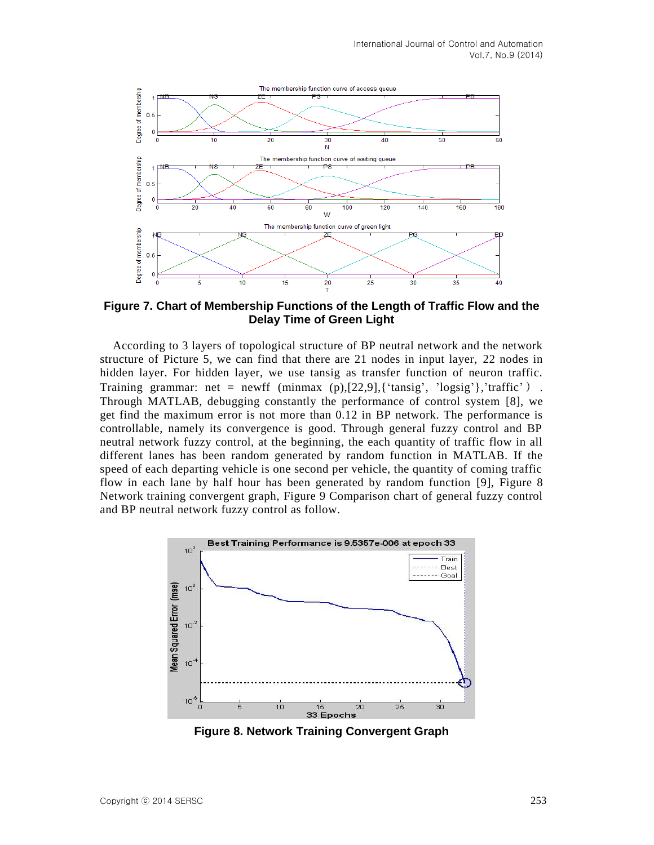

**Figure 7. Chart of Membership Functions of the Length of Traffic Flow and the Delay Time of Green Light**

According to 3 layers of topological structure of BP neutral network and the network structure of Picture 5, we can find that there are 21 nodes in input layer, 22 nodes in hidden layer. For hidden layer, we use tansig as transfer function of neuron traffic. Training grammar: net = newff (minmax  $(p)$ , $[22,9]$ , ${'tansig'}, 'logsig'}, 'traffic')$ . Through MATLAB, debugging constantly the performance of control system [8], we get find the maximum error is not more than 0.12 in BP network. The performance is controllable, namely its convergence is good. Through general fuzzy control and BP neutral network fuzzy control, at the beginning, the each quantity of traffic flow in all different lanes has been random generated by random function in MATLAB. If the speed of each departing vehicle is one second per vehicle, the quantity of coming traffic flow in each lane by half hour has been generated by random function [9], Figure 8 Network training convergent graph, Figure 9 Comparison chart of general fuzzy control and BP neutral network fuzzy control as follow.



**Figure 8. Network Training Convergent Graph**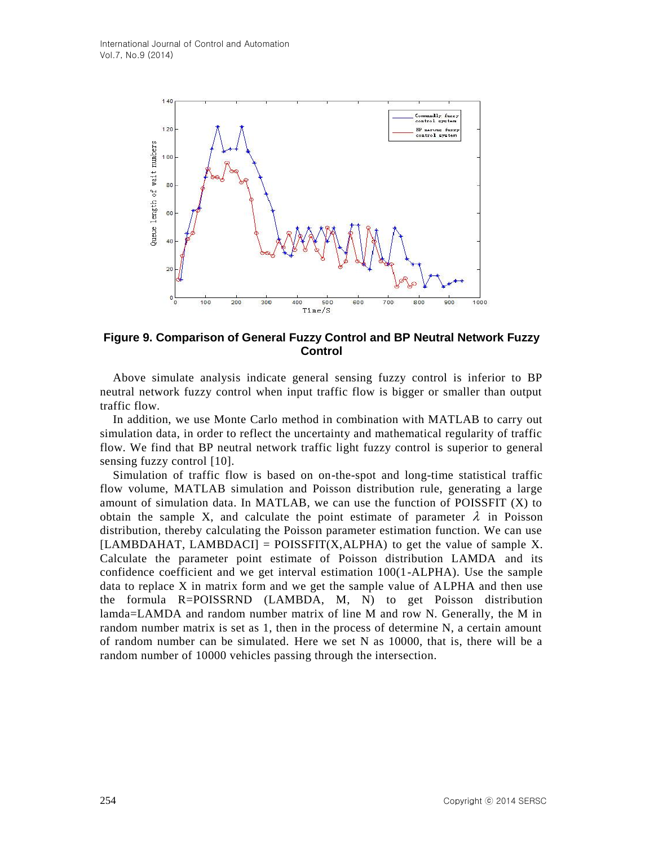

**Figure 9. Comparison of General Fuzzy Control and BP Neutral Network Fuzzy Control**

Above simulate analysis indicate general sensing fuzzy control is inferior to BP neutral network fuzzy control when input traffic flow is bigger or smaller than output traffic flow.

In addition, we use Monte Carlo method in combination with MATLAB to carry out simulation data, in order to reflect the uncertainty and mathematical regularity of traffic flow. We find that BP neutral network traffic light fuzzy control is superior to general sensing fuzzy control [10].

Simulation of traffic flow is based on on-the-spot and long-time statistical traffic flow volume, MATLAB simulation and Poisson distribution rule, generating a large amount of simulation data. In MATLAB, we can use the function of POISSFIT (X) to obtain the sample X, and calculate the point estimate of parameter  $\lambda$  in Poisson distribution, thereby calculating the Poisson parameter estimation function. We can use [LAMBDAHAT, LAMBDACI] = POISSFIT $(X, ALPHA)$  to get the value of sample X. Calculate the parameter point estimate of Poisson distribution LAMDA and its confidence coefficient and we get interval estimation 100(1-ALPHA). Use the sample data to replace X in matrix form and we get the sample value of ALPHA and then use the formula R=POISSRND (LAMBDA, M, N) to get Poisson distribution lamda=LAMDA and random number matrix of line M and row N. Generally, the M in random number matrix is set as 1, then in the process of determine N, a certain amount of random number can be simulated. Here we set N as 10000, that is, there will be a random number of 10000 vehicles passing through the intersection.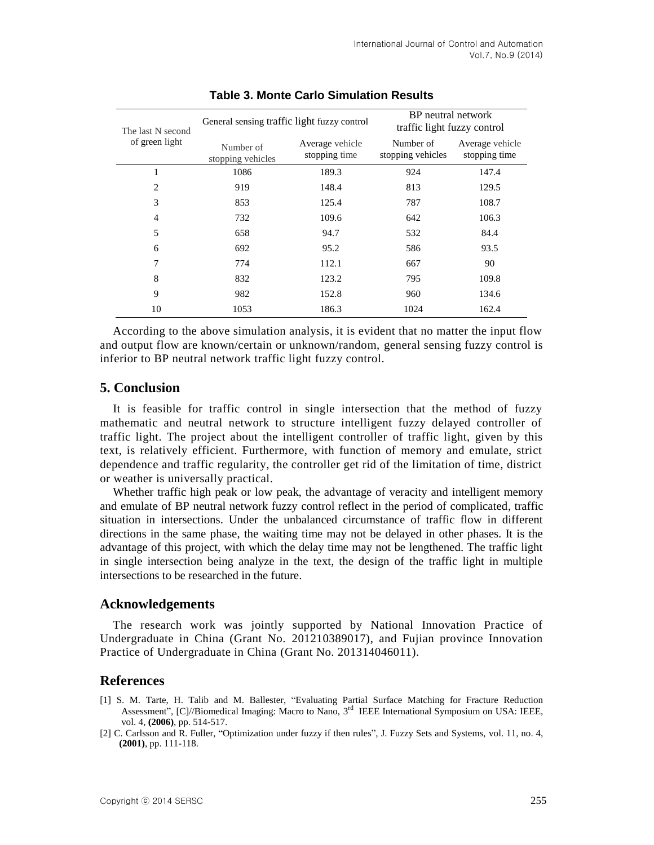| The last N second<br>of green light | General sensing traffic light fuzzy control |                                  | BP neutral network<br>traffic light fuzzy control |                                  |  |  |  |  |
|-------------------------------------|---------------------------------------------|----------------------------------|---------------------------------------------------|----------------------------------|--|--|--|--|
|                                     | Number of<br>stopping vehicles              | Average vehicle<br>stopping time | Number of<br>stopping vehicles                    | Average vehicle<br>stopping time |  |  |  |  |
| 1                                   | 1086                                        | 189.3                            | 924                                               | 147.4                            |  |  |  |  |
| 2                                   | 919                                         | 148.4                            | 813                                               | 129.5                            |  |  |  |  |
| 3                                   | 853                                         | 125.4                            | 787                                               | 108.7                            |  |  |  |  |
| $\overline{4}$                      | 732                                         | 109.6                            | 642                                               | 106.3                            |  |  |  |  |
| 5                                   | 658                                         | 94.7                             | 532                                               | 84.4                             |  |  |  |  |
| 6                                   | 692                                         | 95.2                             | 586                                               | 93.5                             |  |  |  |  |
| 7                                   | 774                                         | 112.1                            | 667                                               | 90                               |  |  |  |  |
| 8                                   | 832                                         | 123.2                            | 795                                               | 109.8                            |  |  |  |  |
| 9                                   | 982                                         | 152.8                            | 960                                               | 134.6                            |  |  |  |  |
| 10                                  | 1053                                        | 186.3                            | 1024                                              | 162.4                            |  |  |  |  |

## **Table 3. Monte Carlo Simulation Results**

According to the above simulation analysis, it is evident that no matter the input flow and output flow are known/certain or unknown/random, general sensing fuzzy control is inferior to BP neutral network traffic light fuzzy control.

## **5. Conclusion**

It is feasible for traffic control in single intersection that the method of fuzzy mathematic and neutral network to structure intelligent fuzzy delayed controller of traffic light. The project about the intelligent controller of traffic light, given by this text, is relatively efficient. Furthermore, with function of memory and emulate, strict dependence and traffic regularity, the controller get rid of the limitation of time, district or weather is universally practical.

Whether traffic high peak or low peak, the advantage of veracity and intelligent memory and emulate of BP neutral network fuzzy control reflect in the period of complicated, traffic situation in intersections. Under the unbalanced circumstance of traffic flow in different directions in the same phase, the waiting time may not be delayed in other phases. It is the advantage of this project, with which the delay time may not be lengthened. The traffic light in single intersection being analyze in the text, the design of the traffic light in multiple intersections to be researched in the future.

### **Acknowledgements**

The research work was jointly supported by National Innovation Practice of Undergraduate in China (Grant No. 201210389017), and Fujian province Innovation Practice of Undergraduate in China (Grant No. 201314046011).

## **References**

- [1] S. M. Tarte, H. Talib and M. Ballester, "Evaluating Partial Surface Matching for Fracture Reduction Assessment", [C]//Biomedical Imaging: Macro to Nano, 3<sup>rd</sup> IEEE International Symposium on USA: IEEE, vol. 4, **(2006)**, pp. 514-517.
- [2] C. Carlsson and R. Fuller, "Optimization under fuzzy if then rules", J. Fuzzy Sets and Systems, vol. 11, no. 4, **(2001)**, pp. 111-118.